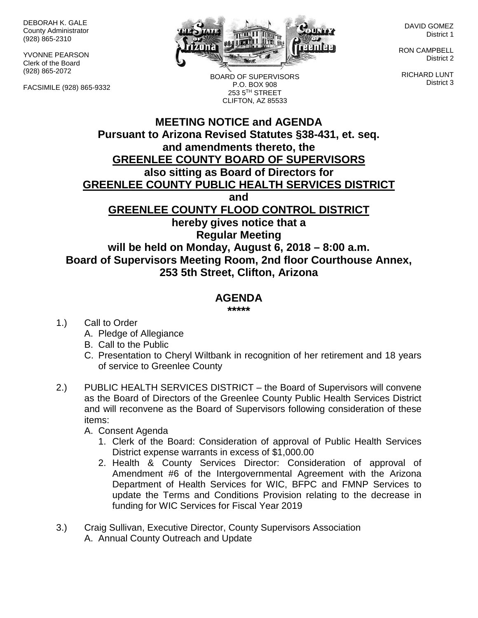DEBORAH K. GALE County Administrator (928) 865-2310

YVONNE PEARSON Clerk of the Board (928) 865-2072

FACSIMILE (928) 865-9332



DAVID GOMEZ District 1

RON CAMPBELL District 2

RICHARD LUNT District 3

BOARD OF SUPERVISORS P.O. BOX 908 253 5TH STREET CLIFTON, AZ 85533

## **MEETING NOTICE and AGENDA Pursuant to Arizona Revised Statutes §38-431, et. seq. and amendments thereto, the GREENLEE COUNTY BOARD OF SUPERVISORS also sitting as Board of Directors for GREENLEE COUNTY PUBLIC HEALTH SERVICES DISTRICT and GREENLEE COUNTY FLOOD CONTROL DISTRICT hereby gives notice that a Regular Meeting will be held on Monday, August 6, 2018 – 8:00 a.m. Board of Supervisors Meeting Room, 2nd floor Courthouse Annex, 253 5th Street, Clifton, Arizona**

## **AGENDA**

**\*\*\*\*\***

- 1.) Call to Order
	- A. Pledge of Allegiance
	- B. Call to the Public
	- C. Presentation to Cheryl Wiltbank in recognition of her retirement and 18 years of service to Greenlee County
- 2.) PUBLIC HEALTH SERVICES DISTRICT the Board of Supervisors will convene as the Board of Directors of the Greenlee County Public Health Services District and will reconvene as the Board of Supervisors following consideration of these items:
	- A. Consent Agenda
		- 1. Clerk of the Board: Consideration of approval of Public Health Services District expense warrants in excess of \$1,000.00
		- 2. Health & County Services Director: Consideration of approval of Amendment #6 of the Intergovernmental Agreement with the Arizona Department of Health Services for WIC, BFPC and FMNP Services to update the Terms and Conditions Provision relating to the decrease in funding for WIC Services for Fiscal Year 2019
- 3.) Craig Sullivan, Executive Director, County Supervisors Association A. Annual County Outreach and Update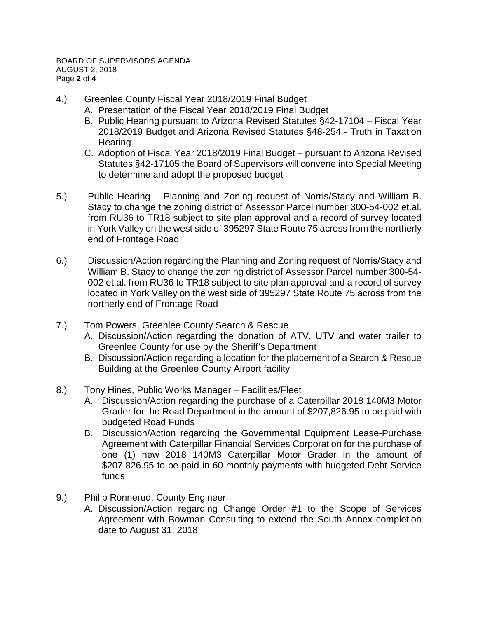- 4.) Greenlee County Fiscal Year 2018/2019 Final Budget
	- A. Presentation of the Fiscal Year 2018/2019 Final Budget
	- B. Public Hearing pursuant to Arizona Revised Statutes §42-17104 Fiscal Year 2018/2019 Budget and Arizona Revised Statutes §48-254 - Truth in Taxation Hearing
	- C. Adoption of Fiscal Year 2018/2019 Final Budget pursuant to Arizona Revised Statutes §42-17105 the Board of Supervisors will convene into Special Meeting to determine and adopt the proposed budget
- 5.) Public Hearing Planning and Zoning request of Norris/Stacy and William B. Stacy to change the zoning district of Assessor Parcel number 300-54-002 et.al. from RU36 to TR18 subject to site plan approval and a record of survey located in York Valley on the west side of 395297 State Route 75 across from the northerly end of Frontage Road
- 6.) Discussion/Action regarding the Planning and Zoning request of Norris/Stacy and William B. Stacy to change the zoning district of Assessor Parcel number 300-54- 002 et.al. from RU36 to TR18 subject to site plan approval and a record of survey located in York Valley on the west side of 395297 State Route 75 across from the northerly end of Frontage Road
- 7.) Tom Powers, Greenlee County Search & Rescue
	- A. Discussion/Action regarding the donation of ATV, UTV and water trailer to Greenlee County for use by the Sheriff's Department
	- B. Discussion/Action regarding a location for the placement of a Search & Rescue Building at the Greenlee County Airport facility
- 8.) Tony Hines, Public Works Manager Facilities/Fleet
	- A. Discussion/Action regarding the purchase of a Caterpillar 2018 140M3 Motor Grader for the Road Department in the amount of \$207,826.95 to be paid with budgeted Road Funds
	- B. Discussion/Action regarding the Governmental Equipment Lease-Purchase Agreement with Caterpillar Financial Services Corporation for the purchase of one (1) new 2018 140M3 Caterpillar Motor Grader in the amount of \$207,826.95 to be paid in 60 monthly payments with budgeted Debt Service funds
- 9.) Philip Ronnerud, County Engineer
	- A. Discussion/Action regarding Change Order #1 to the Scope of Services Agreement with Bowman Consulting to extend the South Annex completion date to August 31, 2018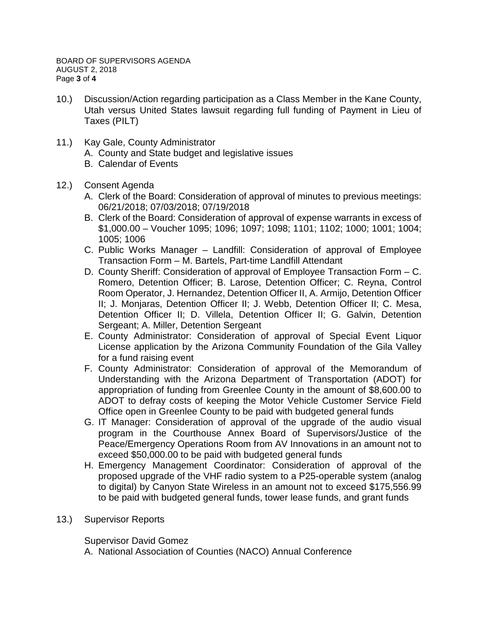- 10.) Discussion/Action regarding participation as a Class Member in the Kane County, Utah versus United States lawsuit regarding full funding of Payment in Lieu of Taxes (PILT)
- 11.) Kay Gale, County Administrator
	- A. County and State budget and legislative issues
	- B. Calendar of Events
- 12.) Consent Agenda
	- A. Clerk of the Board: Consideration of approval of minutes to previous meetings: 06/21/2018; 07/03/2018; 07/19/2018
	- B. Clerk of the Board: Consideration of approval of expense warrants in excess of \$1,000.00 – Voucher 1095; 1096; 1097; 1098; 1101; 1102; 1000; 1001; 1004; 1005; 1006
	- C. Public Works Manager Landfill: Consideration of approval of Employee Transaction Form – M. Bartels, Part-time Landfill Attendant
	- D. County Sheriff: Consideration of approval of Employee Transaction Form C. Romero, Detention Officer; B. Larose, Detention Officer; C. Reyna, Control Room Operator, J. Hernandez, Detention Officer II, A. Armijo, Detention Officer II; J. Monjaras, Detention Officer II; J. Webb, Detention Officer II; C. Mesa, Detention Officer II; D. Villela, Detention Officer II; G. Galvin, Detention Sergeant; A. Miller, Detention Sergeant
	- E. County Administrator: Consideration of approval of Special Event Liquor License application by the Arizona Community Foundation of the Gila Valley for a fund raising event
	- F. County Administrator: Consideration of approval of the Memorandum of Understanding with the Arizona Department of Transportation (ADOT) for appropriation of funding from Greenlee County in the amount of \$8,600.00 to ADOT to defray costs of keeping the Motor Vehicle Customer Service Field Office open in Greenlee County to be paid with budgeted general funds
	- G. IT Manager: Consideration of approval of the upgrade of the audio visual program in the Courthouse Annex Board of Supervisors/Justice of the Peace/Emergency Operations Room from AV Innovations in an amount not to exceed \$50,000.00 to be paid with budgeted general funds
	- H. Emergency Management Coordinator: Consideration of approval of the proposed upgrade of the VHF radio system to a P25-operable system (analog to digital) by Canyon State Wireless in an amount not to exceed \$175,556.99 to be paid with budgeted general funds, tower lease funds, and grant funds
- 13.) Supervisor Reports

Supervisor David Gomez

A. National Association of Counties (NACO) Annual Conference